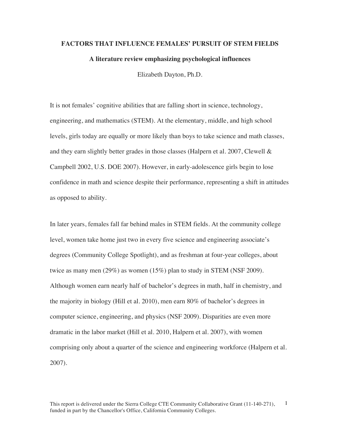### **FACTORS THAT INFLUENCE FEMALES' PURSUIT OF STEM FIELDS**

### **A literature review emphasizing psychological influences**

Elizabeth Dayton, Ph.D.

It is not females' cognitive abilities that are falling short in science, technology, engineering, and mathematics (STEM). At the elementary, middle, and high school levels, girls today are equally or more likely than boys to take science and math classes, and they earn slightly better grades in those classes (Halpern et al. 2007, Clewell & Campbell 2002, U.S. DOE 2007). However, in early-adolescence girls begin to lose confidence in math and science despite their performance, representing a shift in attitudes as opposed to ability.

In later years, females fall far behind males in STEM fields. At the community college level, women take home just two in every five science and engineering associate's degrees (Community College Spotlight), and as freshman at four-year colleges, about twice as many men (29%) as women (15%) plan to study in STEM (NSF 2009). Although women earn nearly half of bachelor's degrees in math, half in chemistry, and the majority in biology (Hill et al. 2010), men earn 80% of bachelor's degrees in computer science, engineering, and physics (NSF 2009). Disparities are even more dramatic in the labor market (Hill et al. 2010, Halpern et al. 2007), with women comprising only about a quarter of the science and engineering workforce (Halpern et al. 2007).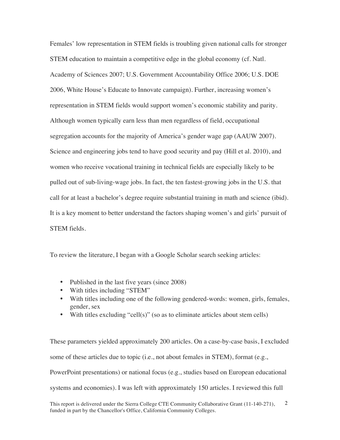Females' low representation in STEM fields is troubling given national calls for stronger STEM education to maintain a competitive edge in the global economy (cf. Natl. Academy of Sciences 2007; U.S. Government Accountability Office 2006; U.S. DOE 2006, White House's Educate to Innovate campaign). Further, increasing women's representation in STEM fields would support women's economic stability and parity. Although women typically earn less than men regardless of field, occupational segregation accounts for the majority of America's gender wage gap (AAUW 2007). Science and engineering jobs tend to have good security and pay (Hill et al. 2010), and women who receive vocational training in technical fields are especially likely to be pulled out of sub-living-wage jobs. In fact, the ten fastest-growing jobs in the U.S. that call for at least a bachelor's degree require substantial training in math and science (ibid). It is a key moment to better understand the factors shaping women's and girls' pursuit of STEM fields.

To review the literature, I began with a Google Scholar search seeking articles:

- Published in the last five years (since 2008)
- With titles including "STEM"
- With titles including one of the following gendered-words: women, girls, females, gender, sex
- With titles excluding "cell(s)" (so as to eliminate articles about stem cells)

This report is delivered under the Sierra College CTE Community Collaborative Grant (11-140-271), funded in part by the Chancellor's Office, California Community Colleges. 2 These parameters yielded approximately 200 articles. On a case-by-case basis, I excluded some of these articles due to topic (i.e., not about females in STEM), format (e.g., PowerPoint presentations) or national focus (e.g., studies based on European educational systems and economies). I was left with approximately 150 articles. I reviewed this full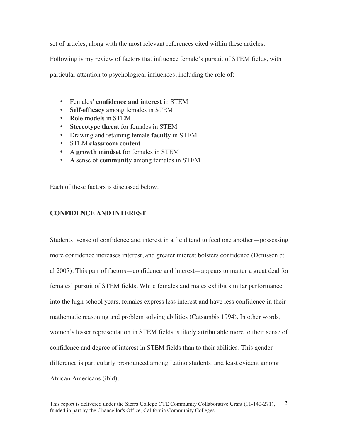set of articles, along with the most relevant references cited within these articles.

Following is my review of factors that influence female's pursuit of STEM fields, with

particular attention to psychological influences, including the role of:

- Females' **confidence and interest** in STEM
- **Self-efficacy** among females in STEM
- **Role models** in STEM
- **Stereotype threat** for females in STEM
- Drawing and retaining female **faculty** in STEM
- STEM **classroom content**
- A **growth mindset** for females in STEM
- A sense of **community** among females in STEM

Each of these factors is discussed below.

# **CONFIDENCE AND INTEREST**

Students' sense of confidence and interest in a field tend to feed one another—possessing more confidence increases interest, and greater interest bolsters confidence (Denissen et al 2007). This pair of factors—confidence and interest—appears to matter a great deal for females' pursuit of STEM fields. While females and males exhibit similar performance into the high school years, females express less interest and have less confidence in their mathematic reasoning and problem solving abilities (Catsambis 1994). In other words, women's lesser representation in STEM fields is likely attributable more to their sense of confidence and degree of interest in STEM fields than to their abilities. This gender difference is particularly pronounced among Latino students, and least evident among African Americans (ibid).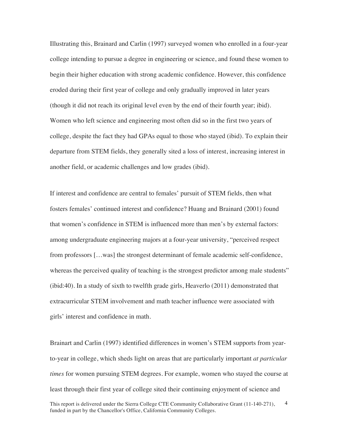Illustrating this, Brainard and Carlin (1997) surveyed women who enrolled in a four-year college intending to pursue a degree in engineering or science, and found these women to begin their higher education with strong academic confidence. However, this confidence eroded during their first year of college and only gradually improved in later years (though it did not reach its original level even by the end of their fourth year; ibid). Women who left science and engineering most often did so in the first two years of college, despite the fact they had GPAs equal to those who stayed (ibid). To explain their departure from STEM fields, they generally sited a loss of interest, increasing interest in another field, or academic challenges and low grades (ibid).

If interest and confidence are central to females' pursuit of STEM fields, then what fosters females' continued interest and confidence? Huang and Brainard (2001) found that women's confidence in STEM is influenced more than men's by external factors: among undergraduate engineering majors at a four-year university, "perceived respect from professors […was] the strongest determinant of female academic self-confidence, whereas the perceived quality of teaching is the strongest predictor among male students" (ibid:40). In a study of sixth to twelfth grade girls, Heaverlo (2011) demonstrated that extracurricular STEM involvement and math teacher influence were associated with girls' interest and confidence in math.

This report is delivered under the Sierra College CTE Community Collaborative Grant (11-140-271), funded in part by the Chancellor's Office, California Community Colleges. 4 Brainart and Carlin (1997) identified differences in women's STEM supports from yearto-year in college, which sheds light on areas that are particularly important *at particular times* for women pursuing STEM degrees. For example, women who stayed the course at least through their first year of college sited their continuing enjoyment of science and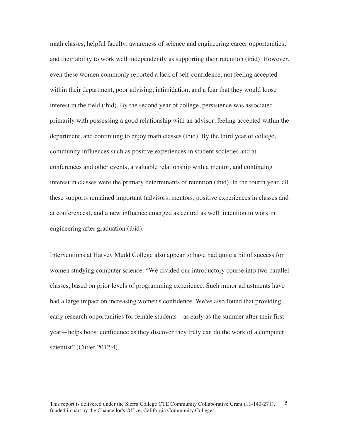math classes, helpful faculty, awareness of science and engineering career opportunities, and their ability to work well independently as supporting their retention (ibid). However, even these women commonly reported a lack of self-confidence, not feeling accepted within their department, poor advising, intimidation, and a fear that they would loose interest in the field (ibid). By the second year of college, persistence was associated primarily with possessing a good relationship with an advisor, feeling accepted within the department, and continuing to enjoy math classes (ibid). By the third year of college, community influences such as positive experiences in student societies and at conferences and other events, a valuable relationship with a mentor, and continuing interest in classes were the primary determinants of retention (ibid). In the fourth year, all these supports remained important (advisors, mentors, positive experiences in classes and at conferences), and a new influence emerged as central as well: intention to work in engineering after graduation (ibid).

Interventions at Harvey Mudd College also appear to have had quite a bit of success for women studying computer science: "We divided our introductory course into two parallel classes, based on prior levels of programming experience. Such minor adjustments have had a large impact on increasing women's confidence. We've also found that providing early research opportunities for female students—as early as the summer after their first year—helps boost confidence as they discover they truly can do the work of a computer scientist" (Cutler 2012:4).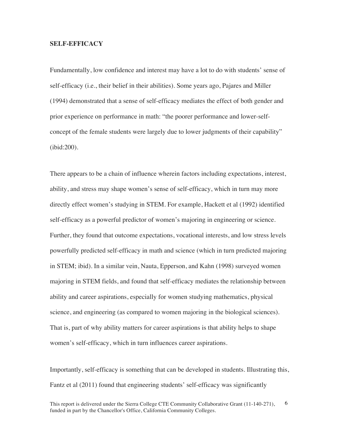### **SELF-EFFICACY**

Fundamentally, low confidence and interest may have a lot to do with students' sense of self-efficacy (i.e., their belief in their abilities). Some years ago, Pajares and Miller (1994) demonstrated that a sense of self-efficacy mediates the effect of both gender and prior experience on performance in math: "the poorer performance and lower-selfconcept of the female students were largely due to lower judgments of their capability" (ibid:200).

There appears to be a chain of influence wherein factors including expectations, interest, ability, and stress may shape women's sense of self-efficacy, which in turn may more directly effect women's studying in STEM. For example, Hackett et al (1992) identified self-efficacy as a powerful predictor of women's majoring in engineering or science. Further, they found that outcome expectations, vocational interests, and low stress levels powerfully predicted self-efficacy in math and science (which in turn predicted majoring in STEM; ibid). In a similar vein, Nauta, Epperson, and Kahn (1998) surveyed women majoring in STEM fields, and found that self-efficacy mediates the relationship between ability and career aspirations, especially for women studying mathematics, physical science, and engineering (as compared to women majoring in the biological sciences). That is, part of why ability matters for career aspirations is that ability helps to shape women's self-efficacy, which in turn influences career aspirations.

Importantly, self-efficacy is something that can be developed in students. Illustrating this, Fantz et al (2011) found that engineering students' self-efficacy was significantly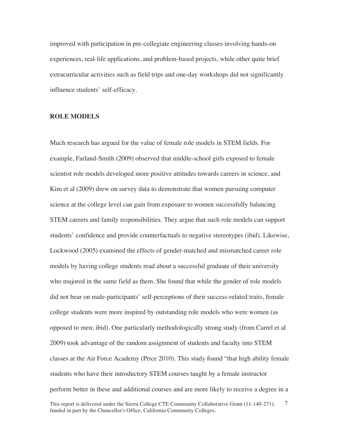improved with participation in pre-collegiate engineering classes involving hands-on experiences, real-life applications, and problem-based projects, while other quite brief extracurricular activities such as field trips and one-day workshops did not significantly influence students' self-efficacy.

### **ROLE MODELS**

This report is delivered under the Sierra College CTE Community Collaborative Grant (11-140-271), funded in part by the Chancellor's Office, California Community Colleges. 7 Much research has argued for the value of female role models in STEM fields. For example, Farland-Smith (2009) observed that middle-school girls exposed to female scientist role models developed more positive attitudes towards careers in science, and Kim et al (2009) drew on survey data to demonstrate that women pursuing computer science at the college level can gain from exposure to women successfully balancing STEM careers and family responsibilities. They argue that such role models can support students' confidence and provide counterfactuals to negative stereotypes (ibid). Likewise, Lockwood (2005) examined the effects of gender-matched and mismatched career role models by having college students read about a successful graduate of their university who majored in the same field as them. She found that while the gender of role models did not bear on male-participants' self-perceptions of their success-related traits, female college students were more inspired by outstanding role models who were women (as opposed to men; ibid). One particularly methodologically strong study (from Carrel et al 2009) took advantage of the random assignment of students and faculty into STEM classes at the Air Force Academy (Price 2010). This study found "that high ability female students who have their introductory STEM courses taught by a female instructor perform better in these and additional courses and are more likely to receive a degree in a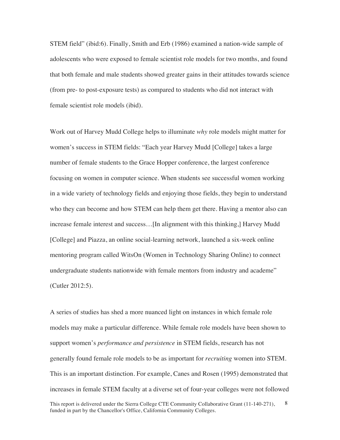STEM field" (ibid:6). Finally, Smith and Erb (1986) examined a nation-wide sample of adolescents who were exposed to female scientist role models for two months, and found that both female and male students showed greater gains in their attitudes towards science (from pre- to post-exposure tests) as compared to students who did not interact with female scientist role models (ibid).

Work out of Harvey Mudd College helps to illuminate *why* role models might matter for women's success in STEM fields: "Each year Harvey Mudd [College] takes a large number of female students to the Grace Hopper conference, the largest conference focusing on women in computer science. When students see successful women working in a wide variety of technology fields and enjoying those fields, they begin to understand who they can become and how STEM can help them get there. Having a mentor also can increase female interest and success…[In alignment with this thinking,] Harvey Mudd [College] and Piazza, an online social-learning network, launched a six-week online mentoring program called WitsOn (Women in Technology Sharing Online) to connect undergraduate students nationwide with female mentors from industry and academe" (Cutler 2012:5).

This report is delivered under the Sierra College CTE Community Collaborative Grant (11-140-271), funded in part by the Chancellor's Office, California Community Colleges. 8 A series of studies has shed a more nuanced light on instances in which female role models may make a particular difference. While female role models have been shown to support women's *performance and persistence* in STEM fields, research has not generally found female role models to be as important for *recruiting* women into STEM. This is an important distinction. For example, Canes and Rosen (1995) demonstrated that increases in female STEM faculty at a diverse set of four-year colleges were not followed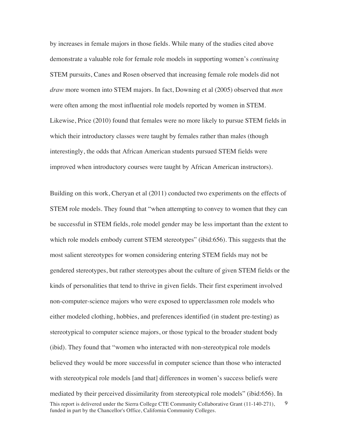by increases in female majors in those fields. While many of the studies cited above demonstrate a valuable role for female role models in supporting women's *continuing* STEM pursuits, Canes and Rosen observed that increasing female role models did not *draw* more women into STEM majors. In fact, Downing et al (2005) observed that *men* were often among the most influential role models reported by women in STEM. Likewise, Price (2010) found that females were no more likely to pursue STEM fields in which their introductory classes were taught by females rather than males (though interestingly, the odds that African American students pursued STEM fields were improved when introductory courses were taught by African American instructors).

This report is delivered under the Sierra College CTE Community Collaborative Grant (11-140-271), funded in part by the Chancellor's Office, California Community Colleges. 9 Building on this work, Cheryan et al (2011) conducted two experiments on the effects of STEM role models. They found that "when attempting to convey to women that they can be successful in STEM fields, role model gender may be less important than the extent to which role models embody current STEM stereotypes" (ibid:656). This suggests that the most salient stereotypes for women considering entering STEM fields may not be gendered stereotypes, but rather stereotypes about the culture of given STEM fields or the kinds of personalities that tend to thrive in given fields. Their first experiment involved non-computer-science majors who were exposed to upperclassmen role models who either modeled clothing, hobbies, and preferences identified (in student pre-testing) as stereotypical to computer science majors, or those typical to the broader student body (ibid). They found that "women who interacted with non-stereotypical role models believed they would be more successful in computer science than those who interacted with stereotypical role models [and that] differences in women's success beliefs were mediated by their perceived dissimilarity from stereotypical role models" (ibid:656). In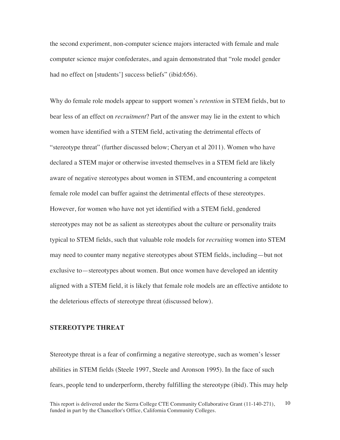the second experiment, non-computer science majors interacted with female and male computer science major confederates, and again demonstrated that "role model gender had no effect on [students'] success beliefs" (ibid:656).

Why do female role models appear to support women's *retention* in STEM fields, but to bear less of an effect on *recruitment*? Part of the answer may lie in the extent to which women have identified with a STEM field, activating the detrimental effects of "stereotype threat" (further discussed below; Cheryan et al 2011). Women who have declared a STEM major or otherwise invested themselves in a STEM field are likely aware of negative stereotypes about women in STEM, and encountering a competent female role model can buffer against the detrimental effects of these stereotypes. However, for women who have not yet identified with a STEM field, gendered stereotypes may not be as salient as stereotypes about the culture or personality traits typical to STEM fields, such that valuable role models for *recruiting* women into STEM may need to counter many negative stereotypes about STEM fields, including—but not exclusive to—stereotypes about women. But once women have developed an identity aligned with a STEM field, it is likely that female role models are an effective antidote to the deleterious effects of stereotype threat (discussed below).

# **STEREOTYPE THREAT**

Stereotype threat is a fear of confirming a negative stereotype, such as women's lesser abilities in STEM fields (Steele 1997, Steele and Aronson 1995). In the face of such fears, people tend to underperform, thereby fulfilling the stereotype (ibid). This may help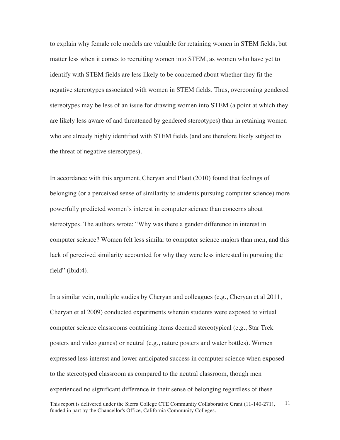to explain why female role models are valuable for retaining women in STEM fields, but matter less when it comes to recruiting women into STEM, as women who have yet to identify with STEM fields are less likely to be concerned about whether they fit the negative stereotypes associated with women in STEM fields. Thus, overcoming gendered stereotypes may be less of an issue for drawing women into STEM (a point at which they are likely less aware of and threatened by gendered stereotypes) than in retaining women who are already highly identified with STEM fields (and are therefore likely subject to the threat of negative stereotypes).

In accordance with this argument, Cheryan and Plaut (2010) found that feelings of belonging (or a perceived sense of similarity to students pursuing computer science) more powerfully predicted women's interest in computer science than concerns about stereotypes. The authors wrote: "Why was there a gender difference in interest in computer science? Women felt less similar to computer science majors than men, and this lack of perceived similarity accounted for why they were less interested in pursuing the field" (ibid:4).

This report is delivered under the Sierra College CTE Community Collaborative Grant (11-140-271), funded in part by the Chancellor's Office, California Community Colleges. 11 In a similar vein, multiple studies by Cheryan and colleagues (e.g., Cheryan et al 2011, Cheryan et al 2009) conducted experiments wherein students were exposed to virtual computer science classrooms containing items deemed stereotypical (e.g., Star Trek posters and video games) or neutral (e.g., nature posters and water bottles). Women expressed less interest and lower anticipated success in computer science when exposed to the stereotyped classroom as compared to the neutral classroom, though men experienced no significant difference in their sense of belonging regardless of these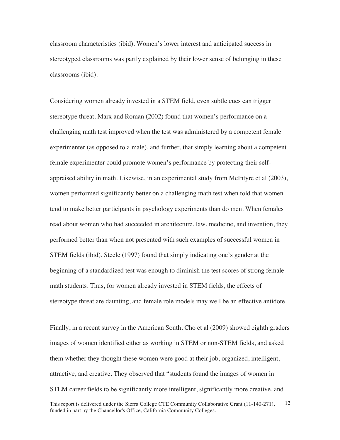classroom characteristics (ibid). Women's lower interest and anticipated success in stereotyped classrooms was partly explained by their lower sense of belonging in these classrooms (ibid).

Considering women already invested in a STEM field, even subtle cues can trigger stereotype threat. Marx and Roman (2002) found that women's performance on a challenging math test improved when the test was administered by a competent female experimenter (as opposed to a male), and further, that simply learning about a competent female experimenter could promote women's performance by protecting their selfappraised ability in math. Likewise, in an experimental study from McIntyre et al (2003), women performed significantly better on a challenging math test when told that women tend to make better participants in psychology experiments than do men. When females read about women who had succeeded in architecture, law, medicine, and invention, they performed better than when not presented with such examples of successful women in STEM fields (ibid). Steele (1997) found that simply indicating one's gender at the beginning of a standardized test was enough to diminish the test scores of strong female math students. Thus, for women already invested in STEM fields, the effects of stereotype threat are daunting, and female role models may well be an effective antidote.

This report is delivered under the Sierra College CTE Community Collaborative Grant (11-140-271), funded in part by the Chancellor's Office, California Community Colleges. 12 Finally, in a recent survey in the American South, Cho et al (2009) showed eighth graders images of women identified either as working in STEM or non-STEM fields, and asked them whether they thought these women were good at their job, organized, intelligent, attractive, and creative. They observed that "students found the images of women in STEM career fields to be significantly more intelligent, significantly more creative, and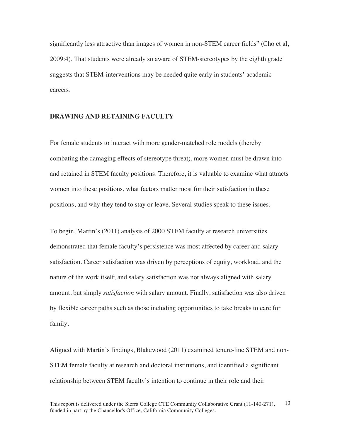significantly less attractive than images of women in non-STEM career fields" (Cho et al, 2009:4). That students were already so aware of STEM-stereotypes by the eighth grade suggests that STEM-interventions may be needed quite early in students' academic careers.

### **DRAWING AND RETAINING FACULTY**

For female students to interact with more gender-matched role models (thereby combating the damaging effects of stereotype threat), more women must be drawn into and retained in STEM faculty positions. Therefore, it is valuable to examine what attracts women into these positions, what factors matter most for their satisfaction in these positions, and why they tend to stay or leave. Several studies speak to these issues.

To begin, Martin's (2011) analysis of 2000 STEM faculty at research universities demonstrated that female faculty's persistence was most affected by career and salary satisfaction. Career satisfaction was driven by perceptions of equity, workload, and the nature of the work itself; and salary satisfaction was not always aligned with salary amount, but simply *satisfaction* with salary amount. Finally, satisfaction was also driven by flexible career paths such as those including opportunities to take breaks to care for family.

Aligned with Martin's findings, Blakewood (2011) examined tenure-line STEM and non-STEM female faculty at research and doctoral institutions, and identified a significant relationship between STEM faculty's intention to continue in their role and their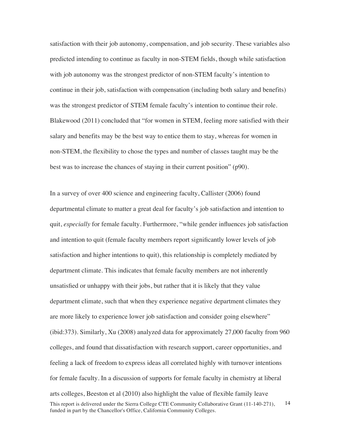satisfaction with their job autonomy, compensation, and job security. These variables also predicted intending to continue as faculty in non-STEM fields, though while satisfaction with job autonomy was the strongest predictor of non-STEM faculty's intention to continue in their job, satisfaction with compensation (including both salary and benefits) was the strongest predictor of STEM female faculty's intention to continue their role. Blakewood (2011) concluded that "for women in STEM, feeling more satisfied with their salary and benefits may be the best way to entice them to stay, whereas for women in non-STEM, the flexibility to chose the types and number of classes taught may be the best was to increase the chances of staying in their current position" (p90).

This report is delivered under the Sierra College CTE Community Collaborative Grant (11-140-271), funded in part by the Chancellor's Office, California Community Colleges. 14 In a survey of over 400 science and engineering faculty, Callister (2006) found departmental climate to matter a great deal for faculty's job satisfaction and intention to quit, *especially* for female faculty. Furthermore, "while gender influences job satisfaction and intention to quit (female faculty members report significantly lower levels of job satisfaction and higher intentions to quit), this relationship is completely mediated by department climate. This indicates that female faculty members are not inherently unsatisfied or unhappy with their jobs, but rather that it is likely that they value department climate, such that when they experience negative department climates they are more likely to experience lower job satisfaction and consider going elsewhere" (ibid:373). Similarly, Xu (2008) analyzed data for approximately 27,000 faculty from 960 colleges, and found that dissatisfaction with research support, career opportunities, and feeling a lack of freedom to express ideas all correlated highly with turnover intentions for female faculty. In a discussion of supports for female faculty in chemistry at liberal arts colleges, Beeston et al (2010) also highlight the value of flexible family leave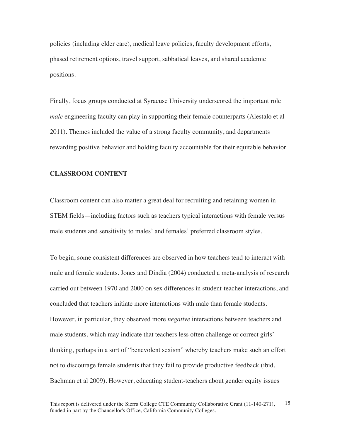policies (including elder care), medical leave policies, faculty development efforts, phased retirement options, travel support, sabbatical leaves, and shared academic positions.

Finally, focus groups conducted at Syracuse University underscored the important role *male* engineering faculty can play in supporting their female counterparts (Alestalo et al 2011). Themes included the value of a strong faculty community, and departments rewarding positive behavior and holding faculty accountable for their equitable behavior.

### **CLASSROOM CONTENT**

Classroom content can also matter a great deal for recruiting and retaining women in STEM fields—including factors such as teachers typical interactions with female versus male students and sensitivity to males' and females' preferred classroom styles.

To begin, some consistent differences are observed in how teachers tend to interact with male and female students. Jones and Dindia (2004) conducted a meta-analysis of research carried out between 1970 and 2000 on sex differences in student-teacher interactions, and concluded that teachers initiate more interactions with male than female students. However, in particular, they observed more *negative* interactions between teachers and male students, which may indicate that teachers less often challenge or correct girls' thinking, perhaps in a sort of "benevolent sexism" whereby teachers make such an effort not to discourage female students that they fail to provide productive feedback (ibid, Bachman et al 2009). However, educating student-teachers about gender equity issues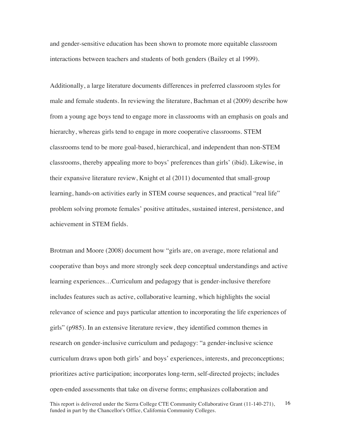and gender-sensitive education has been shown to promote more equitable classroom interactions between teachers and students of both genders (Bailey et al 1999).

Additionally, a large literature documents differences in preferred classroom styles for male and female students. In reviewing the literature, Bachman et al (2009) describe how from a young age boys tend to engage more in classrooms with an emphasis on goals and hierarchy, whereas girls tend to engage in more cooperative classrooms. STEM classrooms tend to be more goal-based, hierarchical, and independent than non-STEM classrooms, thereby appealing more to boys' preferences than girls' (ibid). Likewise, in their expansive literature review, Knight et al (2011) documented that small-group learning, hands-on activities early in STEM course sequences, and practical "real life" problem solving promote females' positive attitudes, sustained interest, persistence, and achievement in STEM fields.

This report is delivered under the Sierra College CTE Community Collaborative Grant (11-140-271), funded in part by the Chancellor's Office, California Community Colleges. 16 Brotman and Moore (2008) document how "girls are, on average, more relational and cooperative than boys and more strongly seek deep conceptual understandings and active learning experiences…Curriculum and pedagogy that is gender-inclusive therefore includes features such as active, collaborative learning, which highlights the social relevance of science and pays particular attention to incorporating the life experiences of girls" (p985). In an extensive literature review, they identified common themes in research on gender-inclusive curriculum and pedagogy: "a gender-inclusive science curriculum draws upon both girls' and boys' experiences, interests, and preconceptions; prioritizes active participation; incorporates long-term, self-directed projects; includes open-ended assessments that take on diverse forms; emphasizes collaboration and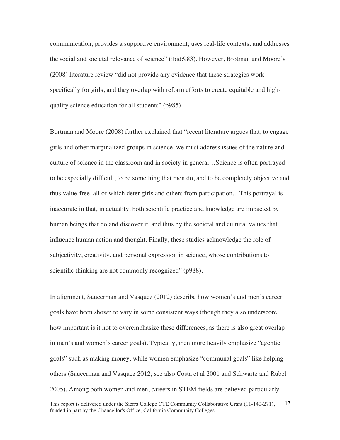communication; provides a supportive environment; uses real-life contexts; and addresses the social and societal relevance of science" (ibid:983). However, Brotman and Moore's (2008) literature review "did not provide any evidence that these strategies work specifically for girls, and they overlap with reform efforts to create equitable and highquality science education for all students" (p985).

Bortman and Moore (2008) further explained that "recent literature argues that, to engage girls and other marginalized groups in science, we must address issues of the nature and culture of science in the classroom and in society in general…Science is often portrayed to be especially difficult, to be something that men do, and to be completely objective and thus value-free, all of which deter girls and others from participation…This portrayal is inaccurate in that, in actuality, both scientific practice and knowledge are impacted by human beings that do and discover it, and thus by the societal and cultural values that influence human action and thought. Finally, these studies acknowledge the role of subjectivity, creativity, and personal expression in science, whose contributions to scientific thinking are not commonly recognized" (p988).

This report is delivered under the Sierra College CTE Community Collaborative Grant (11-140-271), funded in part by the Chancellor's Office, California Community Colleges. 17 In alignment, Saucerman and Vasquez (2012) describe how women's and men's career goals have been shown to vary in some consistent ways (though they also underscore how important is it not to overemphasize these differences, as there is also great overlap in men's and women's career goals). Typically, men more heavily emphasize "agentic goals" such as making money, while women emphasize "communal goals" like helping others (Saucerman and Vasquez 2012; see also Costa et al 2001 and Schwartz and Rubel 2005). Among both women and men, careers in STEM fields are believed particularly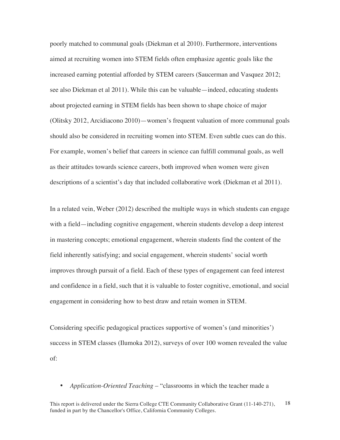poorly matched to communal goals (Diekman et al 2010). Furthermore, interventions aimed at recruiting women into STEM fields often emphasize agentic goals like the increased earning potential afforded by STEM careers (Saucerman and Vasquez 2012; see also Diekman et al 2011). While this can be valuable—indeed, educating students about projected earning in STEM fields has been shown to shape choice of major (Olitsky 2012, Arcidiacono 2010)—women's frequent valuation of more communal goals should also be considered in recruiting women into STEM. Even subtle cues can do this. For example, women's belief that careers in science can fulfill communal goals, as well as their attitudes towards science careers, both improved when women were given descriptions of a scientist's day that included collaborative work (Diekman et al 2011).

In a related vein, Weber (2012) described the multiple ways in which students can engage with a field—including cognitive engagement, wherein students develop a deep interest in mastering concepts; emotional engagement, wherein students find the content of the field inherently satisfying; and social engagement, wherein students' social worth improves through pursuit of a field. Each of these types of engagement can feed interest and confidence in a field, such that it is valuable to foster cognitive, emotional, and social engagement in considering how to best draw and retain women in STEM.

Considering specific pedagogical practices supportive of women's (and minorities') success in STEM classes (Ilumoka 2012), surveys of over 100 women revealed the value of:

• *Application-Oriented Teaching* – "classrooms in which the teacher made a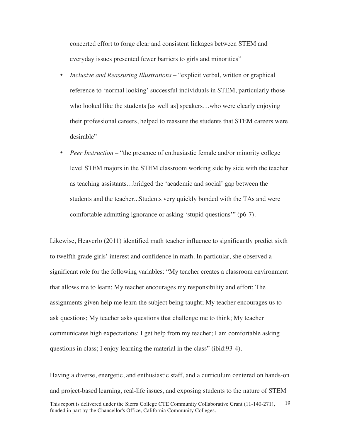concerted effort to forge clear and consistent linkages between STEM and everyday issues presented fewer barriers to girls and minorities"

- *Inclusive and Reassuring Illustrations* "explicit verbal, written or graphical reference to 'normal looking' successful individuals in STEM, particularly those who looked like the students [as well as] speakers…who were clearly enjoying their professional careers, helped to reassure the students that STEM careers were desirable"
- *Peer Instruction* "the presence of enthusiastic female and/or minority college level STEM majors in the STEM classroom working side by side with the teacher as teaching assistants…bridged the 'academic and social' gap between the students and the teacher...Students very quickly bonded with the TAs and were comfortable admitting ignorance or asking 'stupid questions'" (p6-7).

Likewise, Heaverlo (2011) identified math teacher influence to significantly predict sixth to twelfth grade girls' interest and confidence in math. In particular, she observed a significant role for the following variables: "My teacher creates a classroom environment that allows me to learn; My teacher encourages my responsibility and effort; The assignments given help me learn the subject being taught; My teacher encourages us to ask questions; My teacher asks questions that challenge me to think; My teacher communicates high expectations; I get help from my teacher; I am comfortable asking questions in class; I enjoy learning the material in the class" (ibid:93-4).

This report is delivered under the Sierra College CTE Community Collaborative Grant (11-140-271), funded in part by the Chancellor's Office, California Community Colleges. 19 Having a diverse, energetic, and enthusiastic staff, and a curriculum centered on hands-on and project-based learning, real-life issues, and exposing students to the nature of STEM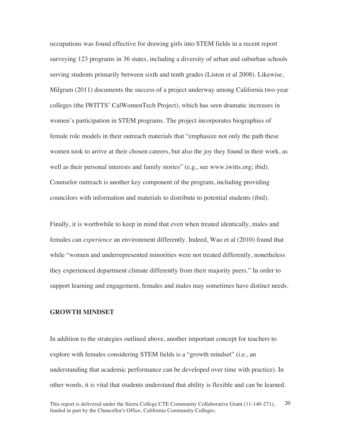occupations was found effective for drawing girls into STEM fields in a recent report surveying 123 programs in 36 states, including a diversity of urban and suburban schools serving students primarily between sixth and tenth grades (Liston et al 2008). Likewise, Milgram (2011) documents the success of a project underway among California two-year colleges (the IWITTS' CalWomenTech Project), which has seen dramatic increases in women's participation in STEM programs. The project incorporates biographies of female role models in their outreach materials that "emphasize not only the path these women took to arrive at their chosen careers, but also the joy they found in their work, as well as their personal interests and family stories" (e.g., see www.iwitts.org; ibid). Counselor outreach is another key component of the program, including providing councilors with information and materials to distribute to potential students (ibid).

Finally, it is worthwhile to keep in mind that even when treated identically, males and females can *experience* an environment differently. Indeed, Wao et al (2010) found that while "women and underrepresented minorities were not treated differently, nonetheless they experienced department climate differently from their majority peers." In order to support learning and engagement, females and males may sometimes have distinct needs.

### **GROWTH MINDSET**

In addition to the strategies outlined above, another important concept for teachers to explore with females considering STEM fields is a "growth mindset" (i.e., an understanding that academic performance can be developed over time with practice). In other words, it is vital that students understand that ability is flexible and can be learned.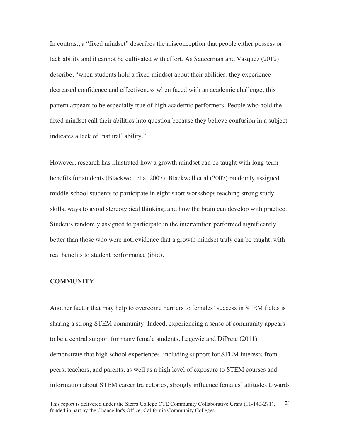In contrast, a "fixed mindset" describes the misconception that people either possess or lack ability and it cannot be cultivated with effort. As Saucerman and Vasquez (2012) describe, "when students hold a fixed mindset about their abilities, they experience decreased confidence and effectiveness when faced with an academic challenge; this pattern appears to be especially true of high academic performers. People who hold the fixed mindset call their abilities into question because they believe confusion in a subject indicates a lack of 'natural' ability."

However, research has illustrated how a growth mindset can be taught with long-term benefits for students (Blackwell et al 2007). Blackwell et al (2007) randomly assigned middle-school students to participate in eight short workshops teaching strong study skills, ways to avoid stereotypical thinking, and how the brain can develop with practice. Students randomly assigned to participate in the intervention performed significantly better than those who were not, evidence that a growth mindset truly can be taught, with real benefits to student performance (ibid).

#### **COMMUNITY**

Another factor that may help to overcome barriers to females' success in STEM fields is sharing a strong STEM community. Indeed, experiencing a sense of community appears to be a central support for many female students. Legewie and DiPrete (2011) demonstrate that high school experiences, including support for STEM interests from peers, teachers, and parents, as well as a high level of exposure to STEM courses and information about STEM career trajectories, strongly influence females' attitudes towards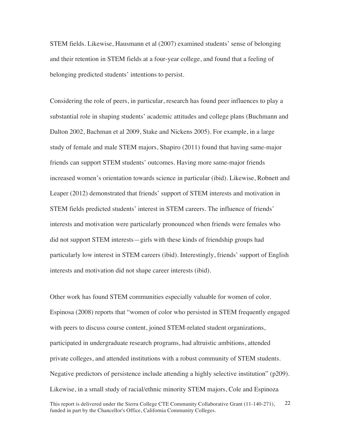STEM fields. Likewise, Hausmann et al (2007) examined students' sense of belonging and their retention in STEM fields at a four-year college, and found that a feeling of belonging predicted students' intentions to persist.

Considering the role of peers, in particular, research has found peer influences to play a substantial role in shaping students' academic attitudes and college plans (Buchmann and Dalton 2002, Bachman et al 2009, Stake and Nickens 2005). For example, in a large study of female and male STEM majors, Shapiro (2011) found that having same-major friends can support STEM students' outcomes. Having more same-major friends increased women's orientation towards science in particular (ibid). Likewise, Robnett and Leaper (2012) demonstrated that friends' support of STEM interests and motivation in STEM fields predicted students' interest in STEM careers. The influence of friends' interests and motivation were particularly pronounced when friends were females who did not support STEM interests—girls with these kinds of friendship groups had particularly low interest in STEM careers (ibid). Interestingly, friends' support of English interests and motivation did not shape career interests (ibid).

This report is delivered under the Sierra College CTE Community Collaborative Grant (11-140-271), funded in part by the Chancellor's Office, California Community Colleges. 22 Other work has found STEM communities especially valuable for women of color. Espinosa (2008) reports that "women of color who persisted in STEM frequently engaged with peers to discuss course content, joined STEM-related student organizations, participated in undergraduate research programs, had altruistic ambitions, attended private colleges, and attended institutions with a robust community of STEM students. Negative predictors of persistence include attending a highly selective institution" (p209). Likewise, in a small study of racial/ethnic minority STEM majors, Cole and Espinoza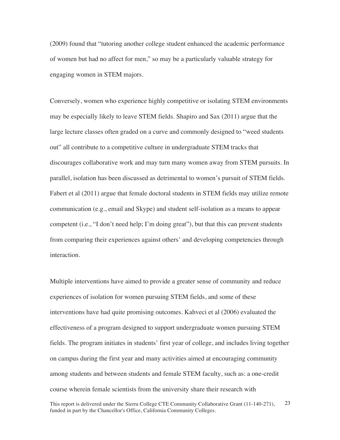(2009) found that "tutoring another college student enhanced the academic performance of women but had no affect for men," so may be a particularly valuable strategy for engaging women in STEM majors.

Conversely, women who experience highly competitive or isolating STEM environments may be especially likely to leave STEM fields. Shapiro and Sax (2011) argue that the large lecture classes often graded on a curve and commonly designed to "weed students out" all contribute to a competitive culture in undergraduate STEM tracks that discourages collaborative work and may turn many women away from STEM pursuits. In parallel, isolation has been discussed as detrimental to women's pursuit of STEM fields. Fabert et al (2011) argue that female doctoral students in STEM fields may utilize remote communication (e.g., email and Skype) and student self-isolation as a means to appear competent (i.e., "I don't need help; I'm doing great"), but that this can prevent students from comparing their experiences against others' and developing competencies through interaction.

This report is delivered under the Sierra College CTE Community Collaborative Grant (11-140-271), funded in part by the Chancellor's Office, California Community Colleges. 23 Multiple interventions have aimed to provide a greater sense of community and reduce experiences of isolation for women pursuing STEM fields, and some of these interventions have had quite promising outcomes. Kahveci et al (2006) evaluated the effectiveness of a program designed to support undergraduate women pursuing STEM fields. The program initiates in students' first year of college, and includes living together on campus during the first year and many activities aimed at encouraging community among students and between students and female STEM faculty, such as: a one-credit course wherein female scientists from the university share their research with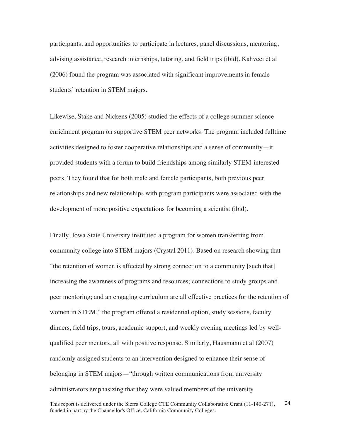participants, and opportunities to participate in lectures, panel discussions, mentoring, advising assistance, research internships, tutoring, and field trips (ibid). Kahveci et al (2006) found the program was associated with significant improvements in female students' retention in STEM majors.

Likewise, Stake and Nickens (2005) studied the effects of a college summer science enrichment program on supportive STEM peer networks. The program included fulltime activities designed to foster cooperative relationships and a sense of community—it provided students with a forum to build friendships among similarly STEM-interested peers. They found that for both male and female participants, both previous peer relationships and new relationships with program participants were associated with the development of more positive expectations for becoming a scientist (ibid).

This report is delivered under the Sierra College CTE Community Collaborative Grant (11-140-271), funded in part by the Chancellor's Office, California Community Colleges. 24 Finally, Iowa State University instituted a program for women transferring from community college into STEM majors (Crystal 2011). Based on research showing that "the retention of women is affected by strong connection to a community [such that] increasing the awareness of programs and resources; connections to study groups and peer mentoring; and an engaging curriculum are all effective practices for the retention of women in STEM," the program offered a residential option, study sessions, faculty dinners, field trips, tours, academic support, and weekly evening meetings led by wellqualified peer mentors, all with positive response. Similarly, Hausmann et al (2007) randomly assigned students to an intervention designed to enhance their sense of belonging in STEM majors—"through written communications from university administrators emphasizing that they were valued members of the university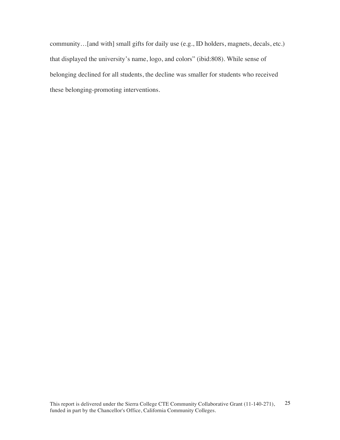community…[and with] small gifts for daily use (e.g., ID holders, magnets, decals, etc.) that displayed the university's name, logo, and colors" (ibid:808). While sense of belonging declined for all students, the decline was smaller for students who received these belonging-promoting interventions.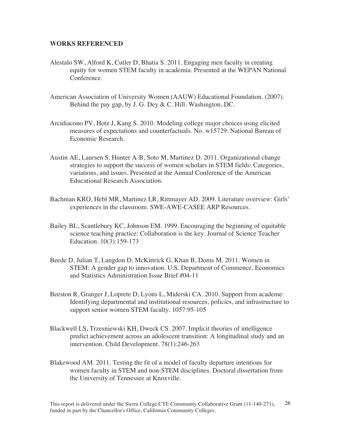# **WORKS REFERENCED**

- Alestalo SW, Alford K, Cutler D, Bhatia S. 2011. Engaging men faculty in creating equity for women STEM faculty in academia. Presented at the WEPAN National Conference.
- American Association of University Women (AAUW) Educational Foundation. (2007). Behind the pay gap, by J. G. Dey & C. Hill. Washington, DC.
- Arcidiacono PV, Hotz J, Kang S. 2010. Modeling college major choices using elicited measures of expectations and counterfactuals. No. w15729. National Bureau of Economic Research.
- Austin AE, Laursen S, Hunter A-B, Soto M, Martinez D. 2011. Organizational change strategies to support the success of women scholars in STEM fields: Categories, variations, and issues. Presented at the Annual Conference of the American Educational Research Association.
- Bachman KRO, Hebl MR, Martinez LR, Rittmayer AD. 2009. Literature overview: Girls' experiences in the classroom. SWE-AWE-CASEE ARP Resources.
- Bailey BL, Scantlebury KC, Johnson EM. 1999. Encouraging the beginning of equitable science teaching practice: Collaboration is the key. Journal of Science Teacher Education. 10(3):159-173
- Beede D, Julian T, Langdon D, McKittrick G, Khan B, Doms M. 2011. Women in STEM: A gender gap to innovation. U.S. Department of Commence, Economics and Statistics Administration Issue Brief #04-11
- Beeston R, Granger J, Loprete D, Lyons L, Miderski CA. 2010. Support from academe: Identifying departmental and institutional resources, policies, and infrastructure to support senior women STEM faculty. 1057:95-105
- Blackwell LS, Trzesniewski KH, Dweck CS. 2007. Implicit theories of intelligence predict achievement across an adolescent transition: A longitudinal study and an intervention. Child Development. 78(1):246-263
- Blakewood AM. 2011. Testing the fit of a model of faculty departure intentions for women faculty in STEM and non-STEM disciplines. Doctoral dissertation from the University of Tennessee at Knoxville.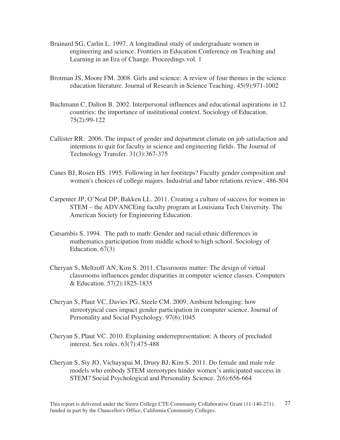- Brainard SG, Carlin L. 1997. A longitudinal study of undergraduate women in engineering and science. Frontiers in Education Conference on Teaching and Learning in an Era of Change. Proceedings vol. 1
- Brotman JS, Moore FM. 2008. Girls and science: A review of four themes in the science education literature. Journal of Research in Science Teaching. 45(9):971-1002
- Buchmann C, Dalton B. 2002. Interpersonal influences and educational aspirations in 12 countries: the importance of institutional context. Sociology of Education. 75(2):99-122
- Callister RR. 2006. The impact of gender and department climate on job satisfaction and intentions to quit for faculty in science and engineering fields. The Journal of Technology Transfer. 31(3):367-375
- Canes BJ, Rosen HS. 1995. Following in her footsteps? Faculty gender composition and women's choices of college majors. Industrial and labor relations review. 486-504
- Carpenter JP, O'Neal DP, Bakken LL. 2011. Creating a culture of success for women in STEM – the ADVANCEing faculty program at Louisiana Tech University. The American Society for Engineering Education.
- Catsambis S. 1994. The path to math: Gender and racial-ethnic differences in mathematics participation from middle school to high school. Sociology of Education. 67(3)
- Cheryan S, Meltzoff AN, Kim S. 2011. Classrooms matter: The design of virtual classrooms influences gender disparities in computer science classes. Computers & Education. 57(2):1825-1835
- Cheryan S, Plaut VC, Davies PG, Steele CM. 2009. Ambient belonging: how stereotypical cues impact gender participation in computer science. Journal of Personality and Social Psychology. 97(6):1045
- Cheryan S, Plaut VC. 2010. Explaining underrepresentation: A theory of precluded interest. Sex roles. 63(7):475-488
- Cheryan S, Siy JO, Vichayapai M, Drury BJ, Kim S. 2011. Do female and male role models who embody STEM stereotypes hinder women's anticipated success in STEM? Social Psychological and Personality Science. 2(6):656-664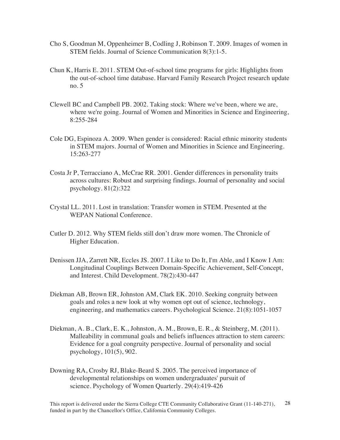- Cho S, Goodman M, Oppenheimer B, Codling J, Robinson T. 2009. Images of women in STEM fields. Journal of Science Communication 8(3):1-5.
- Chun K, Harris E. 2011. STEM Out-of-school time programs for girls: Highlights from the out-of-school time database. Harvard Family Research Project research update no. 5
- Clewell BC and Campbell PB. 2002. Taking stock: Where we've been, where we are, where we're going. Journal of Women and Minorities in Science and Engineering, 8:255-284
- Cole DG, Espinoza A. 2009. When gender is considered: Racial ethnic minority students in STEM majors. Journal of Women and Minorities in Science and Engineering. 15:263-277
- Costa Jr P, Terracciano A, McCrae RR. 2001. Gender differences in personality traits across cultures: Robust and surprising findings. Journal of personality and social psychology. 81(2):322
- Crystal LL. 2011. Lost in translation: Transfer women in STEM. Presented at the WEPAN National Conference.
- Cutler D. 2012. Why STEM fields still don't draw more women. The Chronicle of Higher Education.
- Denissen JJA, Zarrett NR, Eccles JS. 2007. I Like to Do It, I'm Able, and I Know I Am: Longitudinal Couplings Between Domain-Specific Achievement, Self-Concept, and Interest. Child Development. 78(2):430-447
- Diekman AB, Brown ER, Johnston AM, Clark EK. 2010. Seeking congruity between goals and roles a new look at why women opt out of science, technology, engineering, and mathematics careers. Psychological Science. 21(8):1051-1057
- Diekman, A. B., Clark, E. K., Johnston, A. M., Brown, E. R., & Steinberg, M. (2011). Malleability in communal goals and beliefs influences attraction to stem careers: Evidence for a goal congruity perspective. Journal of personality and social psychology, 101(5), 902.
- Downing RA, Crosby RJ, Blake-Beard S. 2005. The perceived importance of developmental relationships on women undergraduates' pursuit of science. Psychology of Women Quarterly. 29(4):419-426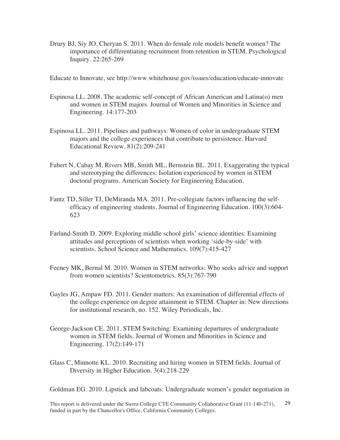Drury BJ, Siy JO, Cheryan S. 2011. When do female role models benefit women? The importance of differentiating recruitment from retention in STEM. Psychological Inquiry. 22:265-269

Educate to Innovate, see http://www.whitehouse.gov/issues/education/educate-innovate

- Espinosa LL. 2008. The academic self-concept of African American and Latina(o) men and women in STEM majors. Journal of Women and Minorities in Science and Engineering. 14:177-203
- Espinosa LL. 2011. Pipelines and pathways: Women of color in undergraduate STEM majors and the college experiences that contribute to persistence. Harvard Educational Review. 81(2):209-241
- Fabert N, Cabay M, Rivers MB, Smith ML, Bernstein BL. 2011. Exaggerating the typical and stereotyping the differences: Isolation experienced by women in STEM doctoral programs. American Society for Engineering Education.
- Fantz TD, Siller TJ, DeMiranda MA. 2011. Pre-collegiate factors influencing the selfefficacy of engineering students. Journal of Engineering Education. 100(3):604- 623
- Farland-Smith D. 2009. Exploring middle school girls' science identities: Examining attitudes and perceptions of scientists when working 'side-by-side' with scientists. School Science and Mathematics. 109(7):415-427
- Feeney MK, Bernal M. 2010. Women in STEM networks: Who seeks advice and support from women scientists? Scientometrics. 85(3):767-790
- Gayles JG, Ampaw FD. 2011. Gender matters: An examination of differential effects of the college experience on degree attainment in STEM. Chapter in: New directions for institutional research, no. 152. Wiley Periodicals, Inc.
- George-Jackson CE. 2011. STEM Switching: Examining departures of undergraduate women in STEM fields. Journal of Women and Minorities in Science and Engineering. 17(2):149-171
- Glass C, Minnotte KL. 2010. Recruiting and hiring women in STEM fields. Journal of Diversity in Higher Education. 3(4):218-229

Goldman EG. 2010. Lipstick and labcoats: Undergraduate women's gender negotiation in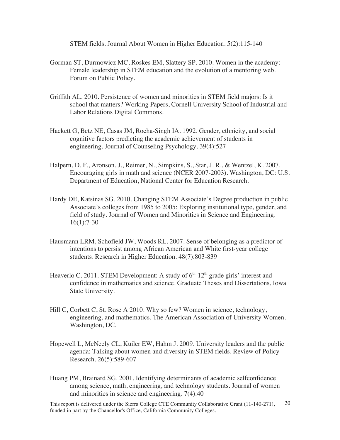STEM fields. Journal About Women in Higher Education. 5(2):115-140

- Gorman ST, Durmowicz MC, Roskes EM, Slattery SP. 2010. Women in the academy: Female leadership in STEM education and the evolution of a mentoring web. Forum on Public Policy.
- Griffith AL. 2010. Persistence of women and minorities in STEM field majors: Is it school that matters? Working Papers, Cornell University School of Industrial and Labor Relations Digital Commons.
- Hackett G, Betz NE, Casas JM, Rocha-Singh IA. 1992. Gender, ethnicity, and social cognitive factors predicting the academic achievement of students in engineering. Journal of Counseling Psychology*.* 39(4):527
- Halpern, D. F., Aronson, J., Reimer, N., Simpkins, S., Star, J. R., & Wentzel, K. 2007. Encouraging girls in math and science (NCER 2007-2003). Washington, DC: U.S. Department of Education, National Center for Education Research.
- Hardy DE, Katsinas SG. 2010. Changing STEM Associate's Degree production in public Associate's colleges from 1985 to 2005: Exploring institutional type, gender, and field of study. Journal of Women and Minorities in Science and Engineering. 16(1):7-30
- Hausmann LRM, Schofield JW, Woods RL. 2007. Sense of belonging as a predictor of intentions to persist among African American and White first-year college students. Research in Higher Education. 48(7):803-839
- Heaverlo C. 2011. STEM Development: A study of  $6<sup>th</sup>$ -12<sup>th</sup> grade girls' interest and confidence in mathematics and science. Graduate Theses and Dissertations, Iowa State University.
- Hill C, Corbett C, St. Rose A 2010. Why so few? Women in science, technology, engineering, and mathematics. The American Association of University Women. Washington, DC.
- Hopewell L, McNeely CL, Kuiler EW, Hahm J. 2009. University leaders and the public agenda: Talking about women and diversity in STEM fields. Review of Policy Research. 26(5):589-607
- Huang PM, Brainard SG. 2001. Identifying determinants of academic selfconfidence among science, math, engineering, and technology students. Journal of women and minorities in science and engineering. 7(4):40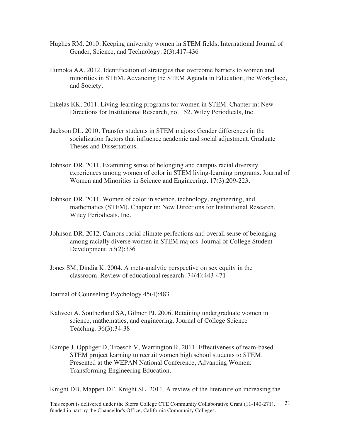- Hughes RM. 2010. Keeping university women in STEM fields. International Journal of Gender, Science, and Technology. 2(3):417-436
- Ilumoka AA. 2012. Identification of strategies that overcome barriers to women and minorities in STEM. Advancing the STEM Agenda in Education, the Workplace, and Society.
- Inkelas KK. 2011. Living-learning programs for women in STEM. Chapter in: New Directions for Institutional Research, no. 152. Wiley Periodicals, Inc.
- Jackson DL. 2010. Transfer students in STEM majors: Gender differences in the socialization factors that influence academic and social adjustment. Graduate Theses and Dissertations.
- Johnson DR. 2011. Examining sense of belonging and campus racial diversity experiences among women of color in STEM living-learning programs. Journal of Women and Minorities in Science and Engineering. 17(3):209-223.
- Johnson DR. 2011. Women of color in science, technology, engineering, and mathematics (STEM). Chapter in: New Directions for Institutional Research. Wiley Periodicals, Inc.
- Johnson DR. 2012. Campus racial climate perfections and overall sense of belonging among racially diverse women in STEM majors. Journal of College Student Development. 53(2):336
- Jones SM, Dindia K. 2004. A meta-analytic perspective on sex equity in the classroom. Review of educational research. 74(4):443-471
- Journal of Counseling Psychology 45(4):483
- Kahveci A, Southerland SA, Gilmer PJ. 2006. Retaining undergraduate women in science, mathematics, and engineering. Journal of College Science Teaching. 36(3):34-38
- Kampe J, Oppliger D, Troesch V, Warrington R. 2011. Effectiveness of team-based STEM project learning to recruit women high school students to STEM. Presented at the WEPAN National Conference, Advancing Women: Transforming Engineering Education.

Knight DB, Mappen DF, Knight SL. 2011. A review of the literature on increasing the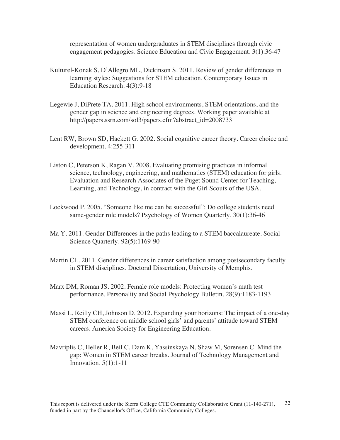representation of women undergraduates in STEM disciplines through civic engagement pedagogies. Science Education and Civic Engagement. 3(1):36-47

- Kulturel-Konak S, D'Allegro ML, Dickinson S. 2011. Review of gender differences in learning styles: Suggestions for STEM education. Contemporary Issues in Education Research. 4(3):9-18
- Legewie J, DiPrete TA. 2011. High school environments, STEM orientations, and the gender gap in science and engineering degrees. Working paper available at http://papers.ssrn.com/sol3/papers.cfm?abstract\_id=2008733
- Lent RW, Brown SD, Hackett G. 2002. Social cognitive career theory. Career choice and development. 4:255-311
- Liston C, Peterson K, Ragan V. 2008. Evaluating promising practices in informal science, technology, engineering, and mathematics (STEM) education for girls. Evaluation and Research Associates of the Puget Sound Center for Teaching, Learning, and Technology, in contract with the Girl Scouts of the USA.
- Lockwood P. 2005. "Someone like me can be successful": Do college students need same-gender role models? Psychology of Women Quarterly. 30(1):36-46
- Ma Y. 2011. Gender Differences in the paths leading to a STEM baccalaureate. Social Science Quarterly. 92(5):1169-90
- Martin CL. 2011. Gender differences in career satisfaction among postsecondary faculty in STEM disciplines. Doctoral Dissertation, University of Memphis.
- Marx DM, Roman JS. 2002. Female role models: Protecting women's math test performance. Personality and Social Psychology Bulletin. 28(9):1183-1193
- Massi L, Reilly CH, Johnson D. 2012. Expanding your horizons: The impact of a one-day STEM conference on middle school girls' and parents' attitude toward STEM careers. America Society for Engineering Education.
- Mavriplis C, Heller R, Beil C, Dam K, Yassinskaya N, Shaw M, Sorensen C. Mind the gap: Women in STEM career breaks. Journal of Technology Management and Innovation. 5(1):1-11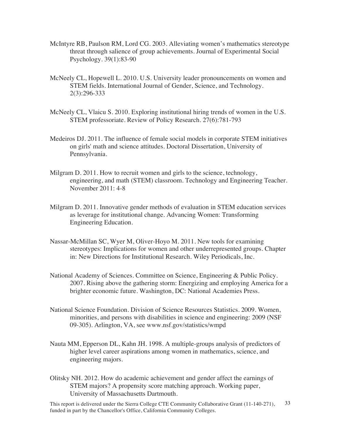- McIntyre RB, Paulson RM, Lord CG. 2003. Alleviating women's mathematics stereotype threat through salience of group achievements. Journal of Experimental Social Psychology. 39(1):83-90
- McNeely CL, Hopewell L. 2010. U.S. University leader pronouncements on women and STEM fields. International Journal of Gender, Science, and Technology. 2(3):296-333
- McNeely CL, Vlaicu S. 2010. Exploring institutional hiring trends of women in the U.S. STEM professoriate. Review of Policy Research. 27(6):781-793
- Medeiros DJ. 2011. The influence of female social models in corporate STEM initiatives on girls' math and science attitudes. Doctoral Dissertation, University of Pennsylvania.
- Milgram D. 2011. How to recruit women and girls to the science, technology, engineering, and math (STEM) classroom. Technology and Engineering Teacher. November 2011: 4-8
- Milgram D. 2011. Innovative gender methods of evaluation in STEM education services as leverage for institutional change. Advancing Women: Transforming Engineering Education.
- Nassar-McMillan SC, Wyer M, Oliver-Hoyo M. 2011. New tools for examining stereotypes: Implications for women and other underrepresented groups. Chapter in: New Directions for Institutional Research. Wiley Periodicals, Inc.
- National Academy of Sciences. Committee on Science, Engineering & Public Policy. 2007. Rising above the gathering storm: Energizing and employing America for a brighter economic future. Washington, DC: National Academies Press.
- National Science Foundation. Division of Science Resources Statistics. 2009. Women, minorities, and persons with disabilities in science and engineering: 2009 (NSF 09-305). Arlington, VA, see www.nsf.gov/statistics/wmpd
- Nauta MM, Epperson DL, Kahn JH. 1998. A multiple-groups analysis of predictors of higher level career aspirations among women in mathematics, science, and engineering majors.
- Olitsky NH. 2012. How do academic achievement and gender affect the earnings of STEM majors? A propensity score matching approach. Working paper, University of Massachusetts Dartmouth.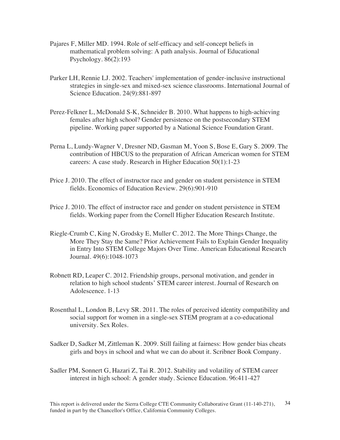- Pajares F, Miller MD. 1994. Role of self-efficacy and self-concept beliefs in mathematical problem solving: A path analysis. Journal of Educational Psychology. 86(2):193
- Parker LH, Rennie LJ. 2002. Teachers' implementation of gender-inclusive instructional strategies in single-sex and mixed-sex science classrooms. International Journal of Science Education. 24(9):881-897
- Perez-Felkner L, McDonald S-K, Schneider B. 2010. What happens to high-achieving females after high school? Gender persistence on the postsecondary STEM pipeline. Working paper supported by a National Science Foundation Grant.
- Perna L, Lundy-Wagner V, Dresner ND, Gasman M, Yoon S, Bose E, Gary S. 2009. The contribution of HBCUS to the preparation of African American women for STEM careers: A case study. Research in Higher Education 50(1):1-23
- Price J. 2010. The effect of instructor race and gender on student persistence in STEM fields. Economics of Education Review. 29(6):901-910
- Price J. 2010. The effect of instructor race and gender on student persistence in STEM fields. Working paper from the Cornell Higher Education Research Institute.
- Riegle-Crumb C, King N, Grodsky E, Muller C. 2012. The More Things Change, the More They Stay the Same? Prior Achievement Fails to Explain Gender Inequality in Entry Into STEM College Majors Over Time. American Educational Research Journal. 49(6):1048-1073
- Robnett RD, Leaper C. 2012. Friendship groups, personal motivation, and gender in relation to high school students' STEM career interest. Journal of Research on Adolescence. 1-13
- Rosenthal L, London B, Levy SR. 2011. The roles of perceived identity compatibility and social support for women in a single-sex STEM program at a co-educational university. Sex Roles.
- Sadker D, Sadker M, Zittleman K. 2009. Still failing at fairness: How gender bias cheats girls and boys in school and what we can do about it. Scribner Book Company.
- Sadler PM, Sonnert G, Hazari Z, Tai R. 2012. Stability and volatility of STEM career interest in high school: A gender study. Science Education. 96:411-427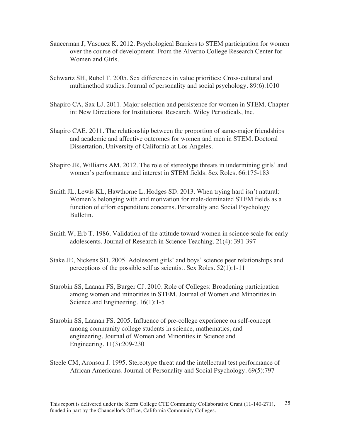- Saucerman J, Vasquez K. 2012. Psychological Barriers to STEM participation for women over the course of development. From the Alverno College Research Center for Women and Girls.
- Schwartz SH, Rubel T. 2005. Sex differences in value priorities: Cross-cultural and multimethod studies. Journal of personality and social psychology. 89(6):1010
- Shapiro CA, Sax LJ. 2011. Major selection and persistence for women in STEM. Chapter in: New Directions for Institutional Research. Wiley Periodicals, Inc.
- Shapiro CAE. 2011. The relationship between the proportion of same-major friendships and academic and affective outcomes for women and men in STEM. Doctoral Dissertation, University of California at Los Angeles.
- Shapiro JR, Williams AM. 2012. The role of stereotype threats in undermining girls' and women's performance and interest in STEM fields. Sex Roles. 66:175-183
- Smith JL, Lewis KL, Hawthorne L, Hodges SD. 2013. When trying hard isn't natural: Women's belonging with and motivation for male-dominated STEM fields as a function of effort expenditure concerns. Personality and Social Psychology Bulletin.
- Smith W, Erb T. 1986. Validation of the attitude toward women in science scale for early adolescents. Journal of Research in Science Teaching. 21(4): 391-397
- Stake JE, Nickens SD. 2005. Adolescent girls' and boys' science peer relationships and perceptions of the possible self as scientist. Sex Roles. 52(1):1-11
- Starobin SS, Laanan FS, Burger CJ. 2010. Role of Colleges: Broadening participation among women and minorities in STEM. Journal of Women and Minorities in Science and Engineering. 16(1):1-5
- Starobin SS, Laanan FS. 2005. Influence of pre-college experience on self-concept among community college students in science, mathematics, and engineering. Journal of Women and Minorities in Science and Engineering. 11(3):209-230
- Steele CM, Aronson J. 1995. Stereotype threat and the intellectual test performance of African Americans. Journal of Personality and Social Psychology. 69(5):797